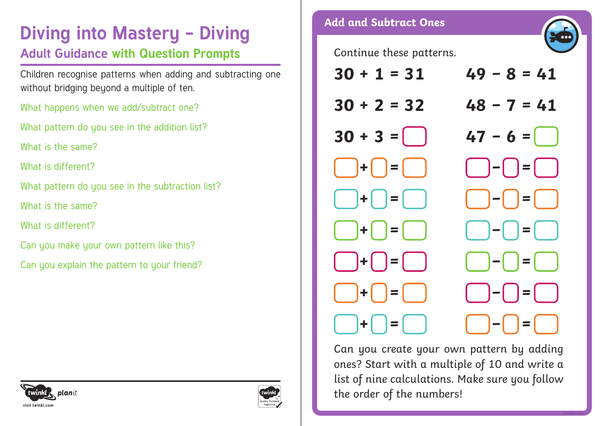# **Diving into Mastery - Diving and Subtract Ones**

### **Adult Guidance with Question Prompts**

Children recognise patterns when adding and subtracting one without bridging beyond a multiple of ten.

What happens when we add/subtract one?

What pattern do you see in the addition list?

What is the same?

What is different?

What pattern do you see in the subtraction list?

What is the same?

What is different?

Can you make your own pattern like this?

Can you explain the pattern to your friend?







Can you create your own pattern by adding ones? Start with a multiple of 10 and write a list of nine calculations. Make sure you follow the order of the numbers!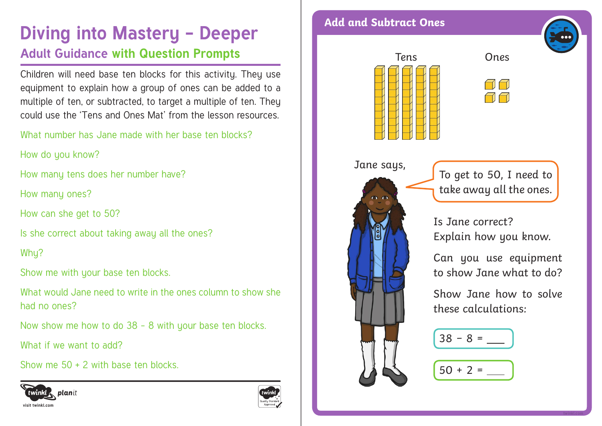## **Diving into Mastery - Deeper** Add and Subtract Ones **Adult Guidance with Question Prompts**

Children will need base ten blocks for this activity. They use equipment to explain how a group of ones can be added to a multiple of ten, or subtracted, to target a multiple of ten. They could use the 'Tens and Ones Mat' from the lesson resources.

What number has Jane made with her base ten blocks?

How do you know?

How many tens does her number have?

How many ones?

How can she get to 50?

Is she correct about taking away all the ones?

Whu?

Show me with your base ten blocks.

What would Jane need to write in the ones column to show she had no ones?

Now show me how to do 38 – 8 with your base ten blocks.

What if we want to add?

Show me 50 + 2 with base ten blocks.









Jane says, To get to 50, I need to take away all the ones.

> Is Jane correct? Explain how you know.

Can you use equipment to show Jane what to do?

Show Jane how to solve these calculations: